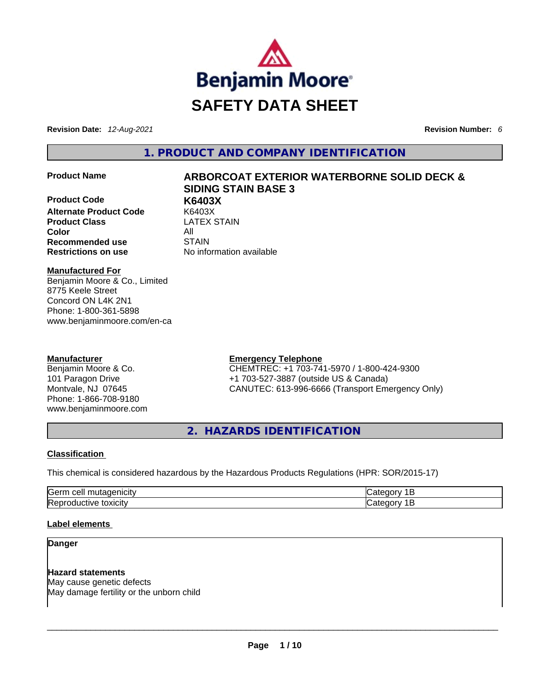

**Revision Date:** *12-Aug-2021* **Revision Number:** *6*

**1. PRODUCT AND COMPANY IDENTIFICATION** 

**Product Code K6403X Alternate Product Code** K6403X **Product Class Color** All **Recommended use** STAIN **Restrictions on use** No information available

# **Product Name ARBORCOAT EXTERIOR WATERBORNE SOLID DECK & SIDING STAIN BASE 3**

**Manufactured For** Benjamin Moore & Co., Limited 8775 Keele Street Concord ON L4K 2N1 Phone: 1-800-361-5898 www.benjaminmoore.com/en-ca

### **Manufacturer**

Benjamin Moore & Co. 101 Paragon Drive Montvale, NJ 07645 Phone: 1-866-708-9180 www.benjaminmoore.com

# **Emergency Telephone**

CHEMTREC: +1 703-741-5970 / 1-800-424-9300 +1 703-527-3887 (outside US & Canada) CANUTEC: 613-996-6666 (Transport Emergency Only)

**2. HAZARDS IDENTIFICATION** 

### **Classification**

This chemical is considered hazardous by the Hazardous Products Regulations (HPR: SOR/2015-17)

| Germ<br>$\cdots$<br>cell<br>unicity ∍<br>murade |                   |
|-------------------------------------------------|-------------------|
| Repr<br>toxicity<br>roquctive                   | ור<br>ᆌ<br>-<br>ີ |

### **Label elements**

**Danger** 

**Hazard statements** May cause genetic defects May damage fertility or the unborn child \_\_\_\_\_\_\_\_\_\_\_\_\_\_\_\_\_\_\_\_\_\_\_\_\_\_\_\_\_\_\_\_\_\_\_\_\_\_\_\_\_\_\_\_\_\_\_\_\_\_\_\_\_\_\_\_\_\_\_\_\_\_\_\_\_\_\_\_\_\_\_\_\_\_\_\_\_\_\_\_\_\_\_\_\_\_\_\_\_\_\_\_\_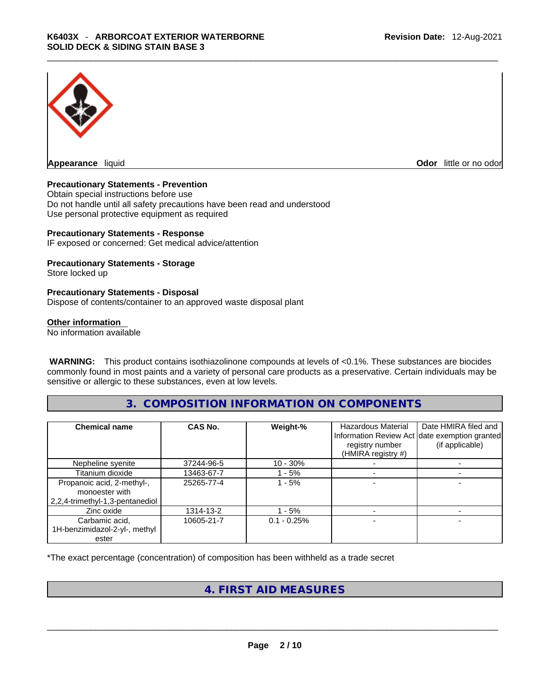

**Appearance** liquid **Odor 11** and **Odor 11** and **Odor 11** and **Odor 11** and **Odor 11** and **Odor** 11 and **Odor** 11 and **Odor** 11 and **Odor** 11 and **Odor** 11 and **Odor** 11 and **Odor** 11 and **Odor** 11 and **Odor** 11 and **Odor** 

#### **Precautionary Statements - Prevention**

Obtain special instructions before use Do not handle until all safety precautions have been read and understood Use personal protective equipment as required

#### **Precautionary Statements - Response**

IF exposed or concerned: Get medical advice/attention

### **Precautionary Statements - Storage**

Store locked up

#### **Precautionary Statements - Disposal**

Dispose of contents/container to an approved waste disposal plant

#### **Other information**

No information available

 **WARNING:** This product contains isothiazolinone compounds at levels of <0.1%. These substances are biocides commonly found in most paints and a variety of personal care products as a preservative. Certain individuals may be sensitive or allergic to these substances, even at low levels.

## **3. COMPOSITION INFORMATION ON COMPONENTS**

| <b>Chemical name</b>                                                              | CAS No.    | Weight-%       | <b>Hazardous Material</b><br>registry number<br>(HMIRA registry #) | Date HMIRA filed and<br>Information Review Act date exemption granted<br>(if applicable) |
|-----------------------------------------------------------------------------------|------------|----------------|--------------------------------------------------------------------|------------------------------------------------------------------------------------------|
| Nepheline syenite                                                                 | 37244-96-5 | $10 - 30%$     |                                                                    |                                                                                          |
| Titanium dioxide                                                                  | 13463-67-7 | - 5%           |                                                                    |                                                                                          |
| Propanoic acid, 2-methyl-,<br>monoester with<br>  2,2,4-trimethyl-1,3-pentanediol | 25265-77-4 | 1 - 5%         |                                                                    |                                                                                          |
| Zinc oxide                                                                        | 1314-13-2  | $-5%$          |                                                                    |                                                                                          |
| Carbamic acid,<br>1H-benzimidazol-2-yl-, methyl<br>ester                          | 10605-21-7 | $0.1 - 0.25\%$ |                                                                    |                                                                                          |

\*The exact percentage (concentration) of composition has been withheld as a trade secret

# **4. FIRST AID MEASURES**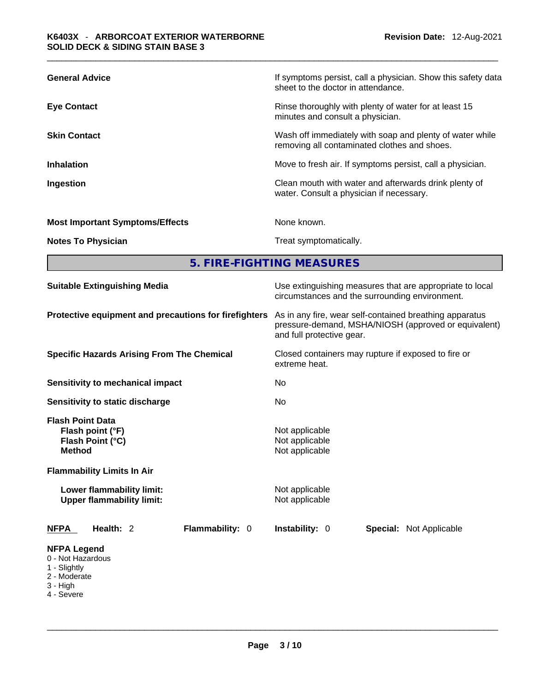|                                        | 5. FIRE-FIGHTING MEASURES                                                                                |
|----------------------------------------|----------------------------------------------------------------------------------------------------------|
| <b>Notes To Physician</b>              | Treat symptomatically.                                                                                   |
| <b>Most Important Symptoms/Effects</b> | None known.                                                                                              |
| Ingestion                              | Clean mouth with water and afterwards drink plenty of<br>water. Consult a physician if necessary.        |
| <b>Inhalation</b>                      | Move to fresh air. If symptoms persist, call a physician.                                                |
| <b>Skin Contact</b>                    | Wash off immediately with soap and plenty of water while<br>removing all contaminated clothes and shoes. |
| <b>Eye Contact</b>                     | Rinse thoroughly with plenty of water for at least 15<br>minutes and consult a physician.                |
| <b>General Advice</b>                  | If symptoms persist, call a physician. Show this safety data<br>sheet to the doctor in attendance.       |
|                                        |                                                                                                          |

| <b>Suitable Extinguishing Media</b>                                                                                                                                                    | Use extinguishing measures that are appropriate to local<br>circumstances and the surrounding environment.                                   |  |  |
|----------------------------------------------------------------------------------------------------------------------------------------------------------------------------------------|----------------------------------------------------------------------------------------------------------------------------------------------|--|--|
| Protective equipment and precautions for firefighters                                                                                                                                  | As in any fire, wear self-contained breathing apparatus<br>pressure-demand, MSHA/NIOSH (approved or equivalent)<br>and full protective gear. |  |  |
| <b>Specific Hazards Arising From The Chemical</b>                                                                                                                                      | Closed containers may rupture if exposed to fire or<br>extreme heat.                                                                         |  |  |
| Sensitivity to mechanical impact                                                                                                                                                       | No                                                                                                                                           |  |  |
| Sensitivity to static discharge                                                                                                                                                        | No                                                                                                                                           |  |  |
| <b>Flash Point Data</b><br>Flash point (°F)<br>Flash Point (°C)<br><b>Method</b><br><b>Flammability Limits In Air</b><br>Lower flammability limit:<br><b>Upper flammability limit:</b> | Not applicable<br>Not applicable<br>Not applicable<br>Not applicable<br>Not applicable                                                       |  |  |
| Flammability: 0<br>Health: 2<br><b>NFPA</b>                                                                                                                                            | <b>Instability: 0</b><br><b>Special: Not Applicable</b>                                                                                      |  |  |
| <b>NFPA Legend</b><br>0 - Not Hazardous<br>1 - Slightly<br>2 - Moderate<br>$3 - High$                                                                                                  |                                                                                                                                              |  |  |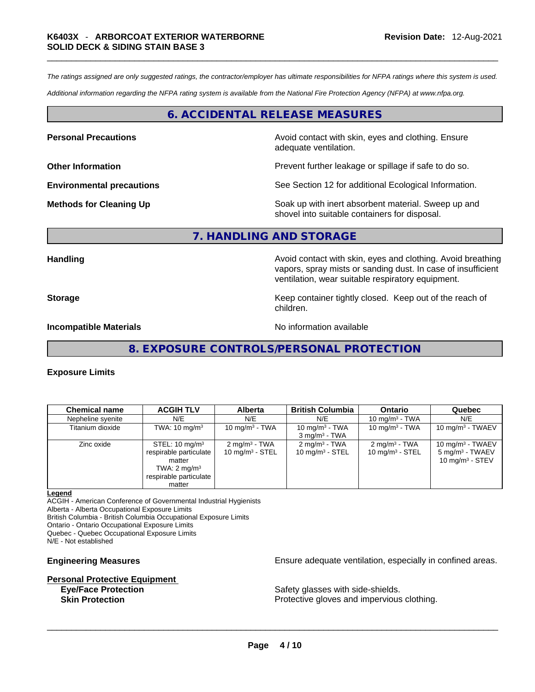*The ratings assigned are only suggested ratings, the contractor/employer has ultimate responsibilities for NFPA ratings where this system is used.* 

*Additional information regarding the NFPA rating system is available from the National Fire Protection Agency (NFPA) at www.nfpa.org.* 

## **6. ACCIDENTAL RELEASE MEASURES**

**Personal Precautions Avoid contact with skin, eyes and clothing. Ensure Personal Precautions** adequate ventilation.

**Other Information Department Information Department Information Prevent further leakage or spillage if safe to do so.** 

**Environmental precautions** See Section 12 for additional Ecological Information.

**Methods for Cleaning Up Example 20 Soak** up with inert absorbent material. Sweep up and shovel into suitable containers for disposal.

#### **7. HANDLING AND STORAGE**

**Handling Handling Avoid contact with skin, eyes and clothing. Avoid breathing** vapors, spray mists or sanding dust. In case of insufficient ventilation, wear suitable respiratory equipment.

**Storage Storage Keep container tightly closed. Keep out of the reach of <b>Storage Keep** out of the reach of children.

**Incompatible Materials Incompatible Materials No information available** 

**8. EXPOSURE CONTROLS/PERSONAL PROTECTION** 

#### **Exposure Limits**

| <b>Chemical name</b> | <b>ACGIH TLV</b>                                                                                                             | <b>Alberta</b>                                         | <b>British Columbia</b>                                | Ontario                                        | Quebec                                                                  |
|----------------------|------------------------------------------------------------------------------------------------------------------------------|--------------------------------------------------------|--------------------------------------------------------|------------------------------------------------|-------------------------------------------------------------------------|
| Nepheline syenite    | N/E                                                                                                                          | N/E                                                    | N/E                                                    | 10 mg/m $3$ - TWA                              | N/E                                                                     |
| Titanium dioxide     | TWA: $10 \text{ mg/m}^3$                                                                                                     | 10 mg/m $3$ - TWA                                      | 10 mg/m $3$ - TWA<br>$3 \text{ mg/m}^3$ - TWA          | 10 mg/m $3$ - TWA                              | 10 mg/m <sup>3</sup> - TWAEV                                            |
| Zinc oxide           | STEL: $10 \text{ mg/m}^3$<br>respirable particulate<br>matter<br>TWA: $2 \text{ mg/m}^3$<br>respirable particulate<br>matter | $2 \text{ mg/m}^3$ - TWA<br>$10 \text{ mg/m}^3$ - STEL | $2 \text{ mg/m}^3$ - TWA<br>$10 \text{ mg/m}^3$ - STEL | $2 \text{ mg/m}^3$ - TWA<br>10 mg/m $3 -$ STEL | 10 mg/m $3$ - TWAEV<br>$5 \text{ mg/m}^3$ - TWAEV<br>10 mg/m $3 -$ STEV |

#### **Legend**

ACGIH - American Conference of Governmental Industrial Hygienists Alberta - Alberta Occupational Exposure Limits

British Columbia - British Columbia Occupational Exposure Limits

Ontario - Ontario Occupational Exposure Limits

Quebec - Quebec Occupational Exposure Limits

N/E - Not established

# **Personal Protective Equipment**

**Engineering Measures Ensure** Ensure adequate ventilation, especially in confined areas.

**Eye/Face Protection Safety glasses with side-shields. Skin Protection Protection Protective gloves and impervious clothing.**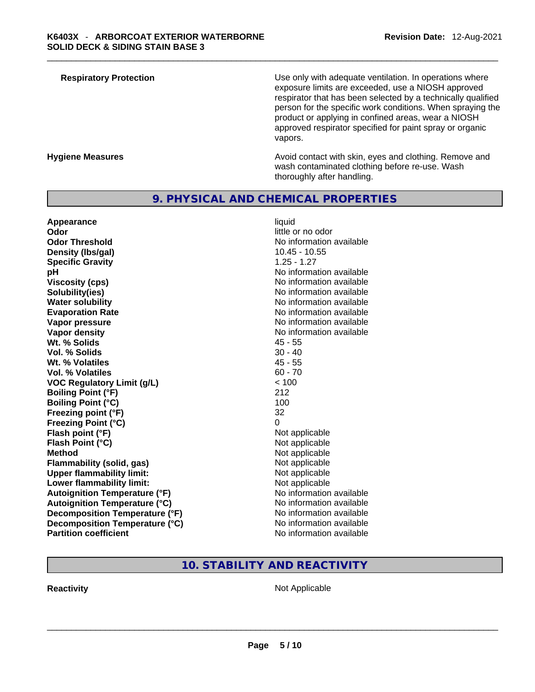**Respiratory Protection Number 2** Use only with adequate ventilation. In operations where exposure limits are exceeded, use a NIOSH approved respirator that has been selected by a technically qualified person for the specific work conditions. When spraying the product or applying in confined areas, wear a NIOSH approved respirator specified for paint spray or organic vapors.

**Hygiene Measures Avoid contact with skin, eyes and clothing. Remove and Avoid contact with skin, eyes and clothing. Remove and Avoid contact with skin, eyes and clothing. Remove and** wash contaminated clothing before re-use. Wash thoroughly after handling.

# **9. PHYSICAL AND CHEMICAL PROPERTIES**

**Appearance** liquid **Odor** little or no odor **Odor Threshold No information available No information available Density (lbs/gal)** 10.45 - 10.55 **Specific Gravity** 1.25 - 1.27 **pH bH** *pH* **Viscosity (cps) Viscosity (cps) No information available Solubility(ies)** No information available **Water solubility No information available No information available Evaporation Rate No information available No information available Vapor pressure Vapor pressure No information available Vapor density No information available No** information available **Wt. % Solids** 45 - 55 **Vol. % Solids** 30 - 40 **Wt. % Volatiles** 45 - 55 **Vol. % Volatiles** 60 - 70 **VOC Regulatory Limit (g/L)** < 100 **Boiling Point (°F)** 212 **Boiling Point (°C)** 100 **Freezing point (°F)** 32 **Freezing Point (°C)** 0 **Flash point (°F)** Not applicable **Flash Point (°C)** Not applicable **Method** Not applicable **Flammability (solid, gas)** Not applicable **Upper flammability limit:**<br> **Lower flammability limit:**<br>
Not applicable<br>
Not applicable **Lower flammability limit:**<br> **Autoignition Temperature (°F)** Not applicable havailable **Autoignition Temperature (°F) Autoignition Temperature (°C)** No information available **Decomposition Temperature (°F)** No information available **Decomposition Temperature (°C)** No information available **Partition coefficient** No information available

# **10. STABILITY AND REACTIVITY**

**Reactivity** Not Applicable \_\_\_\_\_\_\_\_\_\_\_\_\_\_\_\_\_\_\_\_\_\_\_\_\_\_\_\_\_\_\_\_\_\_\_\_\_\_\_\_\_\_\_\_\_\_\_\_\_\_\_\_\_\_\_\_\_\_\_\_\_\_\_\_\_\_\_\_\_\_\_\_\_\_\_\_\_\_\_\_\_\_\_\_\_\_\_\_\_\_\_\_\_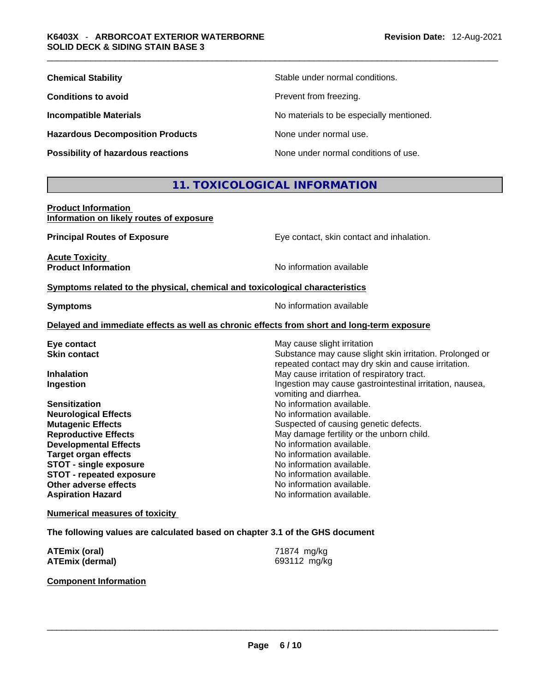| <b>Chemical Stability</b>                 | Stable under normal conditions.          |
|-------------------------------------------|------------------------------------------|
| <b>Conditions to avoid</b>                | Prevent from freezing.                   |
| <b>Incompatible Materials</b>             | No materials to be especially mentioned. |
| <b>Hazardous Decomposition Products</b>   | None under normal use.                   |
| <b>Possibility of hazardous reactions</b> | None under normal conditions of use.     |

# **11. TOXICOLOGICAL INFORMATION**

| <b>Product Information</b>               |  |
|------------------------------------------|--|
| Information on likely routes of exposure |  |

**Principal Routes of Exposure Exposure** Eye contact, skin contact and inhalation. **Acute Toxicity<br>Product Information No information available Symptoms related to the physical, chemical and toxicological characteristics Symptoms Symptoms No information available** 

#### **Delayed and immediate effects as well as chronic effects from short and long-term exposure**

| Eye contact                     | May cause slight irritation                                                                                     |
|---------------------------------|-----------------------------------------------------------------------------------------------------------------|
| <b>Skin contact</b>             | Substance may cause slight skin irritation. Prolonged or<br>repeated contact may dry skin and cause irritation. |
| <b>Inhalation</b>               | May cause irritation of respiratory tract.                                                                      |
| Ingestion                       | Ingestion may cause gastrointestinal irritation, nausea,<br>vomiting and diarrhea.                              |
| <b>Sensitization</b>            | No information available.                                                                                       |
| <b>Neurological Effects</b>     | No information available.                                                                                       |
| <b>Mutagenic Effects</b>        | Suspected of causing genetic defects.                                                                           |
| <b>Reproductive Effects</b>     | May damage fertility or the unborn child.                                                                       |
| <b>Developmental Effects</b>    | No information available.                                                                                       |
| <b>Target organ effects</b>     | No information available.                                                                                       |
| <b>STOT - single exposure</b>   | No information available.                                                                                       |
| <b>STOT - repeated exposure</b> | No information available.                                                                                       |
| Other adverse effects           | No information available.                                                                                       |
| <b>Aspiration Hazard</b>        | No information available.                                                                                       |
|                                 |                                                                                                                 |

#### **Numerical measures of toxicity**

**The following values are calculated based on chapter 3.1 of the GHS document**

| <b>ATEmix (oral)</b>   | 71874 mg/kg  |
|------------------------|--------------|
| <b>ATEmix (dermal)</b> | 693112 mg/kg |

## **Component Information**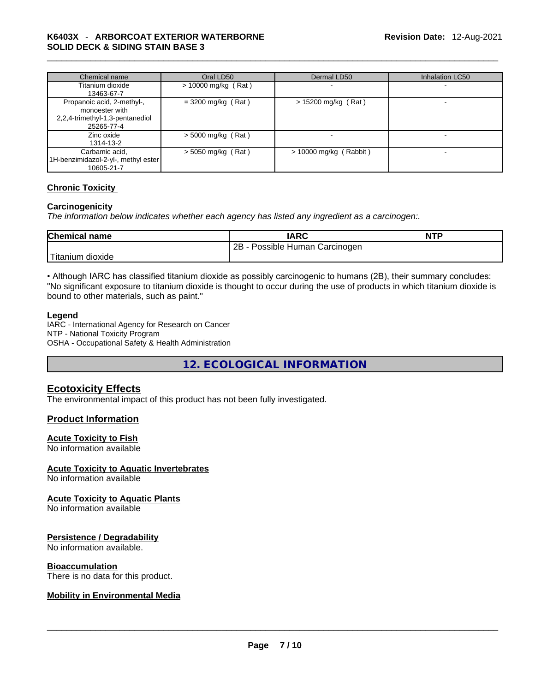#### \_\_\_\_\_\_\_\_\_\_\_\_\_\_\_\_\_\_\_\_\_\_\_\_\_\_\_\_\_\_\_\_\_\_\_\_\_\_\_\_\_\_\_\_\_\_\_\_\_\_\_\_\_\_\_\_\_\_\_\_\_\_\_\_\_\_\_\_\_\_\_\_\_\_\_\_\_\_\_\_\_\_\_\_\_\_\_\_\_\_\_\_\_ **K6403X** - **ARBORCOAT EXTERIOR WATERBORNE SOLID DECK & SIDING STAIN BASE 3**

| Chemical name                                                                                 | Oral LD50             | Dermal LD50              | <b>Inhalation LC50</b> |
|-----------------------------------------------------------------------------------------------|-----------------------|--------------------------|------------------------|
| Titanium dioxide<br>13463-67-7                                                                | $> 10000$ mg/kg (Rat) |                          |                        |
| Propanoic acid, 2-methyl-,<br>monoester with<br>2,2,4-trimethyl-1,3-pentanediol<br>25265-77-4 | $=$ 3200 mg/kg (Rat)  | $> 15200$ mg/kg (Rat)    |                        |
| Zinc oxide<br>1314-13-2                                                                       | $>$ 5000 mg/kg (Rat)  |                          |                        |
| Carbamic acid,<br>1H-benzimidazol-2-yl-, methyl ester<br>10605-21-7                           | $>$ 5050 mg/kg (Rat)  | $> 10000$ mg/kg (Rabbit) |                        |

## **Chronic Toxicity**

#### **Carcinogenicity**

*The information below indicates whether each agency has listed any ingredient as a carcinogen:.* 

| <b>Chemical name</b>          | IARC                                | <b>NTP</b> |
|-------------------------------|-------------------------------------|------------|
|                               | $2B -$<br>Possible Human Carcinogen |            |
| <sup>I</sup> Titanium dioxide |                                     |            |

• Although IARC has classified titanium dioxide as possibly carcinogenic to humans (2B), their summary concludes: "No significant exposure to titanium dioxide is thought to occur during the use of products in which titanium dioxide is bound to other materials, such as paint."

#### **Legend**

IARC - International Agency for Research on Cancer NTP - National Toxicity Program OSHA - Occupational Safety & Health Administration

**12. ECOLOGICAL INFORMATION** 

## **Ecotoxicity Effects**

The environmental impact of this product has not been fully investigated.

### **Product Information**

#### **Acute Toxicity to Fish**

No information available

#### **Acute Toxicity to Aquatic Invertebrates**

No information available

#### **Acute Toxicity to Aquatic Plants**

No information available

#### **Persistence / Degradability**

No information available.

#### **Bioaccumulation**

# There is no data for this product. \_\_\_\_\_\_\_\_\_\_\_\_\_\_\_\_\_\_\_\_\_\_\_\_\_\_\_\_\_\_\_\_\_\_\_\_\_\_\_\_\_\_\_\_\_\_\_\_\_\_\_\_\_\_\_\_\_\_\_\_\_\_\_\_\_\_\_\_\_\_\_\_\_\_\_\_\_\_\_\_\_\_\_\_\_\_\_\_\_\_\_\_\_ **Mobility in Environmental Media**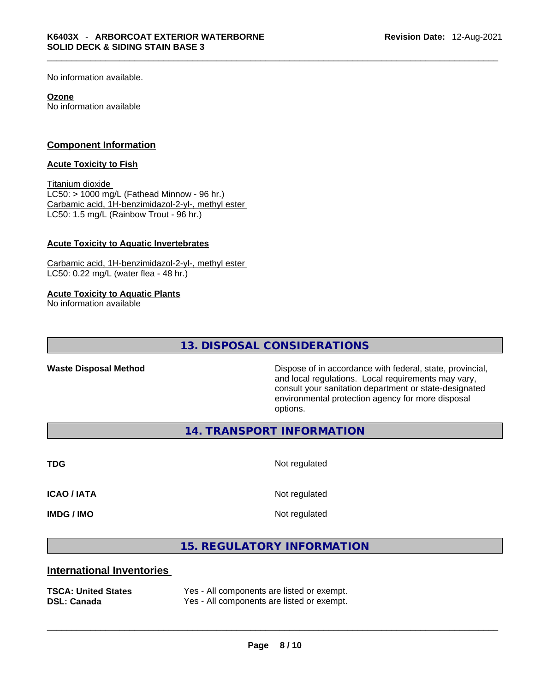No information available.

#### **Ozone**

No information available

#### **Component Information**

#### **Acute Toxicity to Fish**

Titanium dioxide  $LC50:$  > 1000 mg/L (Fathead Minnow - 96 hr.) Carbamic acid, 1H-benzimidazol-2-yl-, methyl ester LC50: 1.5 mg/L (Rainbow Trout - 96 hr.)

#### **Acute Toxicity to Aquatic Invertebrates**

Carbamic acid, 1H-benzimidazol-2-yl-, methyl ester LC50: 0.22 mg/L (water flea - 48 hr.)

#### **Acute Toxicity to Aquatic Plants**

No information available

**13. DISPOSAL CONSIDERATIONS** 

**Waste Disposal Method** Dispose of in accordance with federal, state, provincial, and local regulations. Local requirements may vary, consult your sanitation department or state-designated environmental protection agency for more disposal options.

**14. TRANSPORT INFORMATION** 

**TDG** Not regulated

**ICAO / IATA** Not regulated

**IMDG / IMO** Not regulated

**15. REGULATORY INFORMATION** 

#### **International Inventories**

| <b>TSCA: United States</b> | Yes - All components are listed or exempt. |
|----------------------------|--------------------------------------------|
| DSL: Canada                | Yes - All components are listed or exempt. |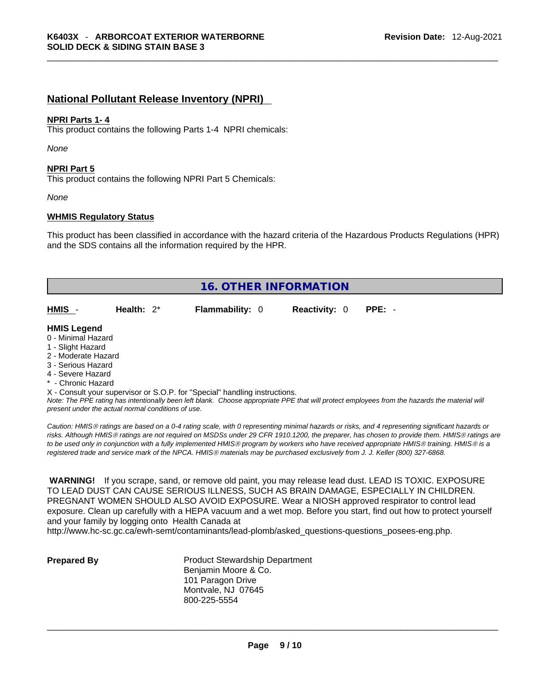# **National Pollutant Release Inventory (NPRI)**

#### **NPRI Parts 1- 4**

This product contains the following Parts 1-4 NPRI chemicals:

*None*

#### **NPRI Part 5**

This product contains the following NPRI Part 5 Chemicals:

*None*

#### **WHMIS Regulatory Status**

This product has been classified in accordance with the hazard criteria of the Hazardous Products Regulations (HPR) and the SDS contains all the information required by the HPR.

| <b>16. OTHER INFORMATION</b> |               |                                                                            |                      |          |  |  |
|------------------------------|---------------|----------------------------------------------------------------------------|----------------------|----------|--|--|
|                              |               |                                                                            |                      |          |  |  |
| <b>HMIS</b>                  | Health: $2^*$ | <b>Flammability: 0</b>                                                     | <b>Reactivity: 0</b> | $PPE: -$ |  |  |
| <b>HMIS Legend</b>           |               |                                                                            |                      |          |  |  |
| 0 - Minimal Hazard           |               |                                                                            |                      |          |  |  |
| 1 - Slight Hazard            |               |                                                                            |                      |          |  |  |
| 2 - Moderate Hazard          |               |                                                                            |                      |          |  |  |
| 3 - Serious Hazard           |               |                                                                            |                      |          |  |  |
| 4 - Severe Hazard            |               |                                                                            |                      |          |  |  |
| * - Chronic Hazard           |               |                                                                            |                      |          |  |  |
|                              |               | X - Consult your supervisor or S.O.P. for "Special" handling instructions. |                      |          |  |  |
|                              |               |                                                                            |                      |          |  |  |

Note: The PPE rating has intentionally been left blank. Choose appropriate PPE that will protect employees from the hazards the material will *present under the actual normal conditions of use.* 

*Caution: HMISÒ ratings are based on a 0-4 rating scale, with 0 representing minimal hazards or risks, and 4 representing significant hazards or risks. Although HMISÒ ratings are not required on MSDSs under 29 CFR 1910.1200, the preparer, has chosen to provide them. HMISÒ ratings are to be used only in conjunction with a fully implemented HMISÒ program by workers who have received appropriate HMISÒ training. HMISÒ is a registered trade and service mark of the NPCA. HMISÒ materials may be purchased exclusively from J. J. Keller (800) 327-6868.* 

 **WARNING!** If you scrape, sand, or remove old paint, you may release lead dust. LEAD IS TOXIC. EXPOSURE TO LEAD DUST CAN CAUSE SERIOUS ILLNESS, SUCH AS BRAIN DAMAGE, ESPECIALLY IN CHILDREN. PREGNANT WOMEN SHOULD ALSO AVOID EXPOSURE.Wear a NIOSH approved respirator to control lead exposure. Clean up carefully with a HEPA vacuum and a wet mop. Before you start, find out how to protect yourself and your family by logging onto Health Canada at

http://www.hc-sc.gc.ca/ewh-semt/contaminants/lead-plomb/asked\_questions-questions\_posees-eng.php.

**Prepared By Product Stewardship Department** Benjamin Moore & Co. 101 Paragon Drive Montvale, NJ 07645 800-225-5554